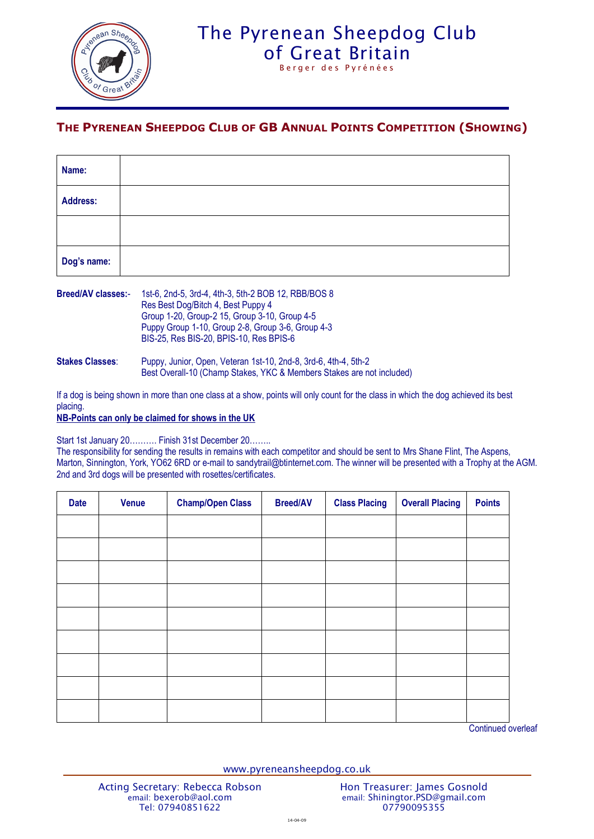

## The Pyrenean Sheepdog Club [of Great Britain](http://www.pyreneansheepdog.co.uk/index.htm)

Berger des Pyrénées

## **THE PYRENEAN SHEEPDOG CLUB OF GB ANNUAL POINTS COMPETITION (SHOWING)**

| Name:       |  |  |  |
|-------------|--|--|--|
| Address:    |  |  |  |
|             |  |  |  |
| Dog's name: |  |  |  |

| <b>Breed/AV classes:-</b> | 1st-6, 2nd-5, 3rd-4, 4th-3, 5th-2 BOB 12, RBB/BOS 8<br>Res Best Dog/Bitch 4, Best Puppy 4<br>Group 1-20, Group-2 15, Group 3-10, Group 4-5<br>Puppy Group 1-10, Group 2-8, Group 3-6, Group 4-3<br>BIS-25, Res BIS-20, BPIS-10, Res BPIS-6 |  |  |
|---------------------------|--------------------------------------------------------------------------------------------------------------------------------------------------------------------------------------------------------------------------------------------|--|--|
| <b>Stakes Classes:</b>    | Puppy, Junior, Open, Veteran 1st-10, 2nd-8, 3rd-6, 4th-4, 5th-2<br>Best Overall-10 (Champ Stakes, YKC & Members Stakes are not included)                                                                                                   |  |  |

If a dog is being shown in more than one class at a show, points will only count for the class in which the dog achieved its best placing.

**NB-Points can only be claimed for shows in the UK**

Start 1st January 20………. Finish 31st December 20……..

The responsibility for sending the results in remains with each competitor and should be sent to Mrs Shane Flint, The Aspens, Marton, Sinnington, York, YO62 6RD or e-mail to sandytrail@btinternet.com. The winner will be presented with a Trophy at the AGM. 2nd and 3rd dogs will be presented with rosettes/certificates.

| <b>Date</b> | <b>Venue</b> | <b>Champ/Open Class</b> | <b>Breed/AV</b> | <b>Class Placing</b> | <b>Overall Placing</b> | <b>Points</b> |
|-------------|--------------|-------------------------|-----------------|----------------------|------------------------|---------------|
|             |              |                         |                 |                      |                        |               |
|             |              |                         |                 |                      |                        |               |
|             |              |                         |                 |                      |                        |               |
|             |              |                         |                 |                      |                        |               |
|             |              |                         |                 |                      |                        |               |
|             |              |                         |                 |                      |                        |               |
|             |              |                         |                 |                      |                        |               |
|             |              |                         |                 |                      |                        |               |
|             |              |                         |                 |                      |                        |               |

Continued overleaf

www.pyreneansheepdog.co.uk